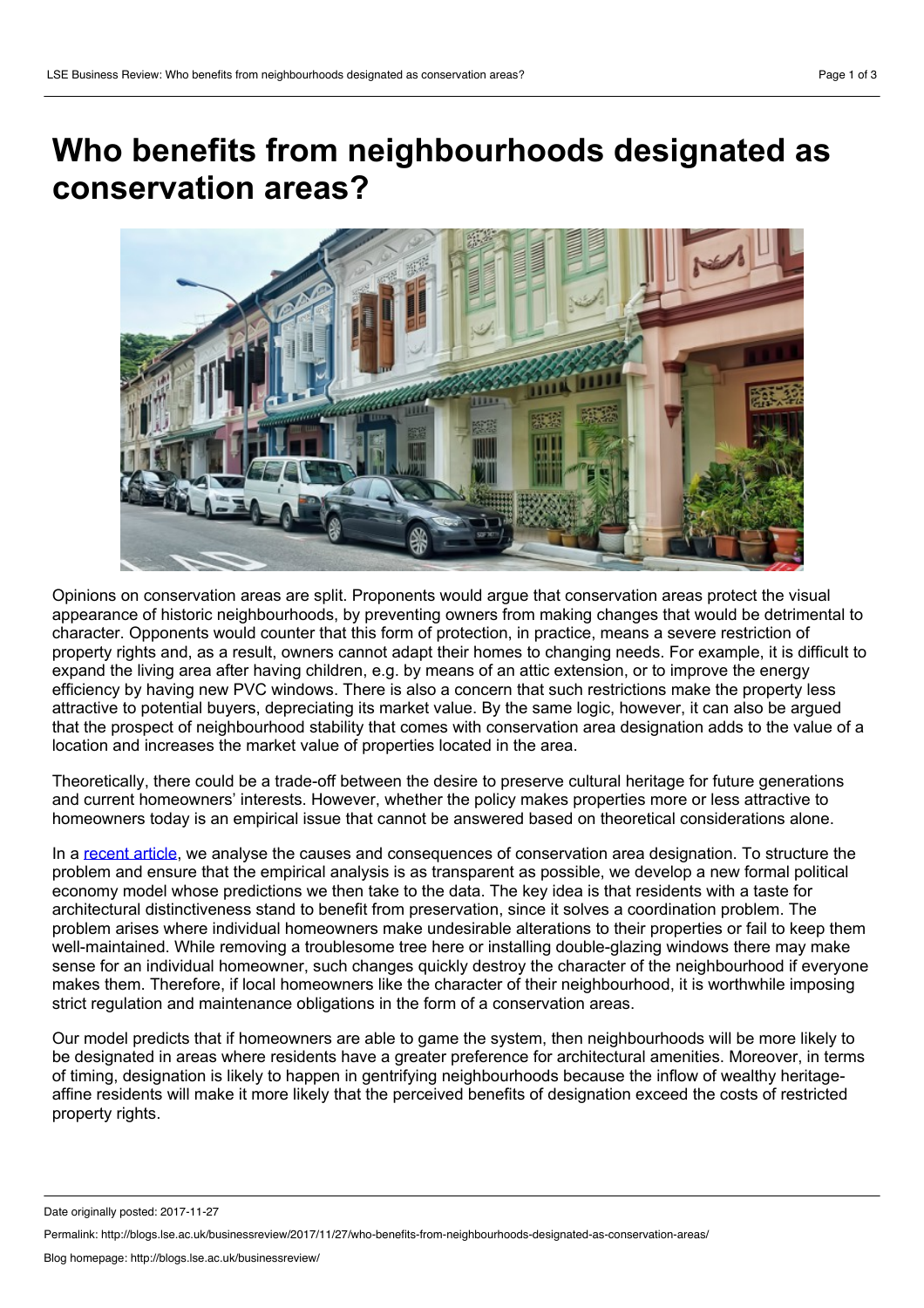## **Who benefits from neighbourhoods designated as conservation areas?**



Opinions on conservation areas are split. Proponents would argue that conservation areas protect the visual appearance of historic neighbourhoods, by preventing owners from making changes that would be detrimental to character. Opponents would counter that this form of protection, in practice, means a severe restriction of property rights and, as a result, owners cannot adapt their homes to changing needs. For example, it is difficult to expand the living area after having children, e.g. by means of an attic extension, or to improve the energy efficiency by having new PVC windows. There is also a concern that such restrictions make the property less attractive to potential buyers, depreciating its market value. By the same logic, however, it can also be argued that the prospect of neighbourhood stability that comes with conservation area designation adds to the value of a location and increases the market value of properties located in the area.

Theoretically, there could be a trade-off between the desire to preserve cultural heritage for future generations and current homeowners' interests. However, whether the policy makes properties more or less attractive to homeowners today is an empirical issue that cannot be answered based on theoretical considerations alone.

In a [recent](http://onlinelibrary.wiley.com/doi/10.1111/ecoj.12454/abstract) article, we analyse the causes and consequences of conservation area designation. To structure the problem and ensure that the empirical analysis is as transparent as possible, we develop a new formal political economy model whose predictions we then take to the data. The key idea is that residents with a taste for architectural distinctiveness stand to benefit from preservation, since it solves a coordination problem. The problem arises where individual homeowners make undesirable alterations to their properties or fail to keep them well-maintained. While removing a troublesome tree here or installing double-glazing windows there may make sense for an individual homeowner, such changes quickly destroy the character of the neighbourhood if everyone makes them. Therefore, if local homeowners like the character of their neighbourhood, it is worthwhile imposing strict regulation and maintenance obligations in the form of a conservation areas.

Our model predicts that if homeowners are able to game the system, then neighbourhoods will be more likely to be designated in areas where residents have a greater preference for architectural amenities. Moreover, in terms of timing, designation is likely to happen in gentrifying neighbourhoods because the inflow of wealthy heritage affine residents will make it more likely that the perceived benefits of designation exceed the costs of restricted property rights.

Date originally posted: 2017-11-27

Permalink: http://blogs.lse.ac.uk/businessreview/2017/11/27/who-benefits-from-neighbourhoods-designated-as-conservation-areas/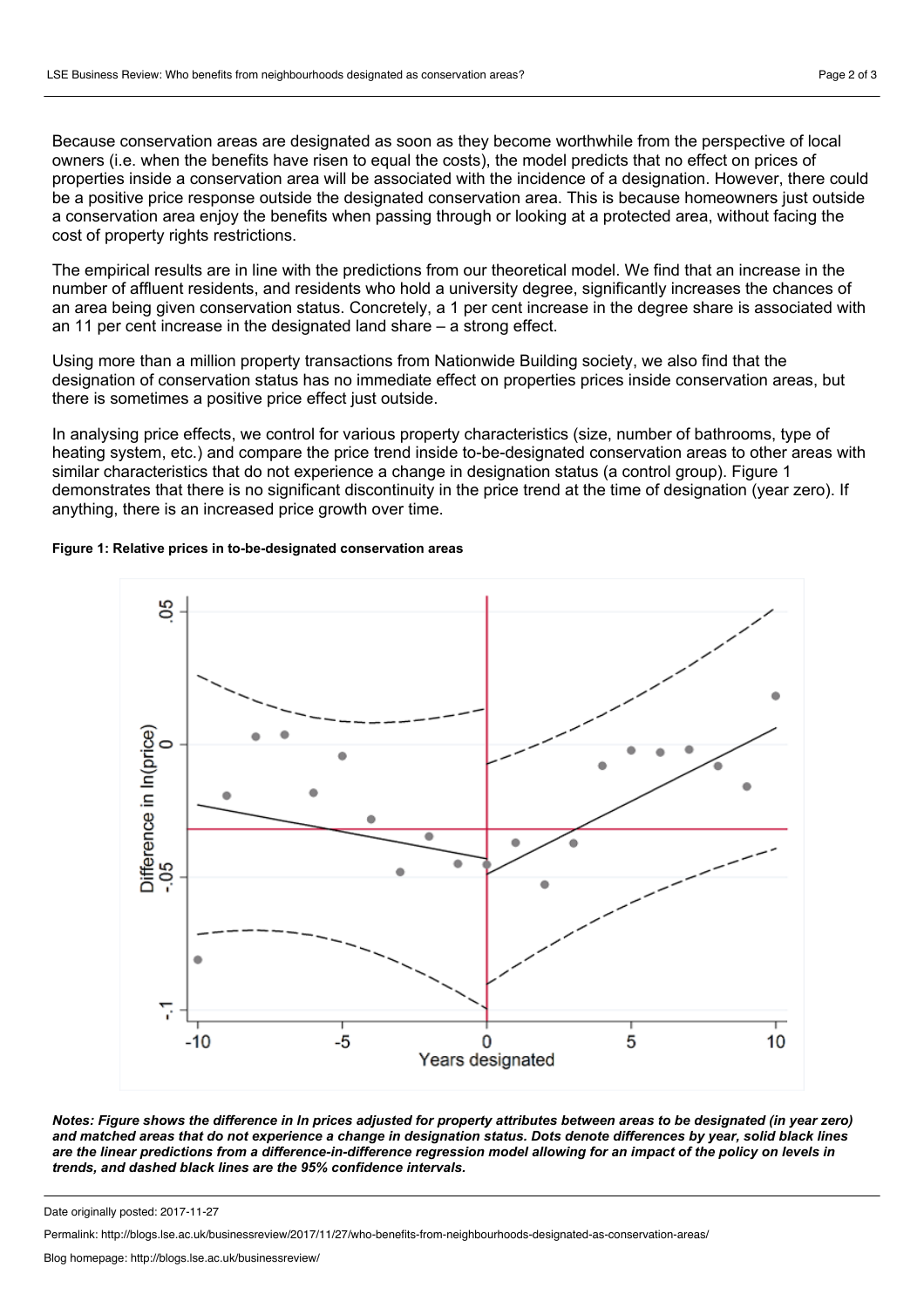Because conservation areas are designated as soon as they become worthwhile from the perspective of local owners (i.e. when the benefits have risen to equal the costs), the model predicts that no effect on prices of properties inside a conservation area will be associated with the incidence of a designation. However, there could be a positive price response outside the designated conservation area. This is because homeowners just outside a conservation area enjoy the benefits when passing through or looking at a protected area, without facing the cost of property rights restrictions.

The empirical results are in line with the predictions from our theoretical model. We find that an increase in the number of affluent residents, and residents who hold a university degree, significantly increases the chances of an area being given conservation status. Concretely, a 1 per cent increase in the degree share is associated with an 11 per cent increase in the designated land share – a strong effect.

Using more than a million property transactions from Nationwide Building society, we also find that the designation of conservation status has no immediate effect on properties prices inside conservation areas, but there is sometimes a positive price effect just outside.

In analysing price effects, we control for various property characteristics (size, number of bathrooms, type of heating system, etc.) and compare the price trend inside to-be-designated conservation areas to other areas with similar characteristics that do not experience a change in designation status (a control group). Figure 1 demonstrates that there is no significant discontinuity in the price trend at the time of designation (year zero). If anything, there is an increased price growth over time.

## **Figure 1: Relative prices in to-be-designated conservation areas**



Notes: Figure shows the difference in In prices adjusted for property attributes between areas to be designated (in year zero) and matched areas that do not experience a change in designation status. Dots denote differences by year, solid black lines are the linear predictions from a difference-in-difference regression model allowing for an impact of the policy on levels in *trends, and dashed black lines are the 95% confidence intervals.*

Permalink: http://blogs.lse.ac.uk/businessreview/2017/11/27/who-benefits-from-neighbourhoods-designated-as-conservation-areas/

Date originally posted: 2017-11-27